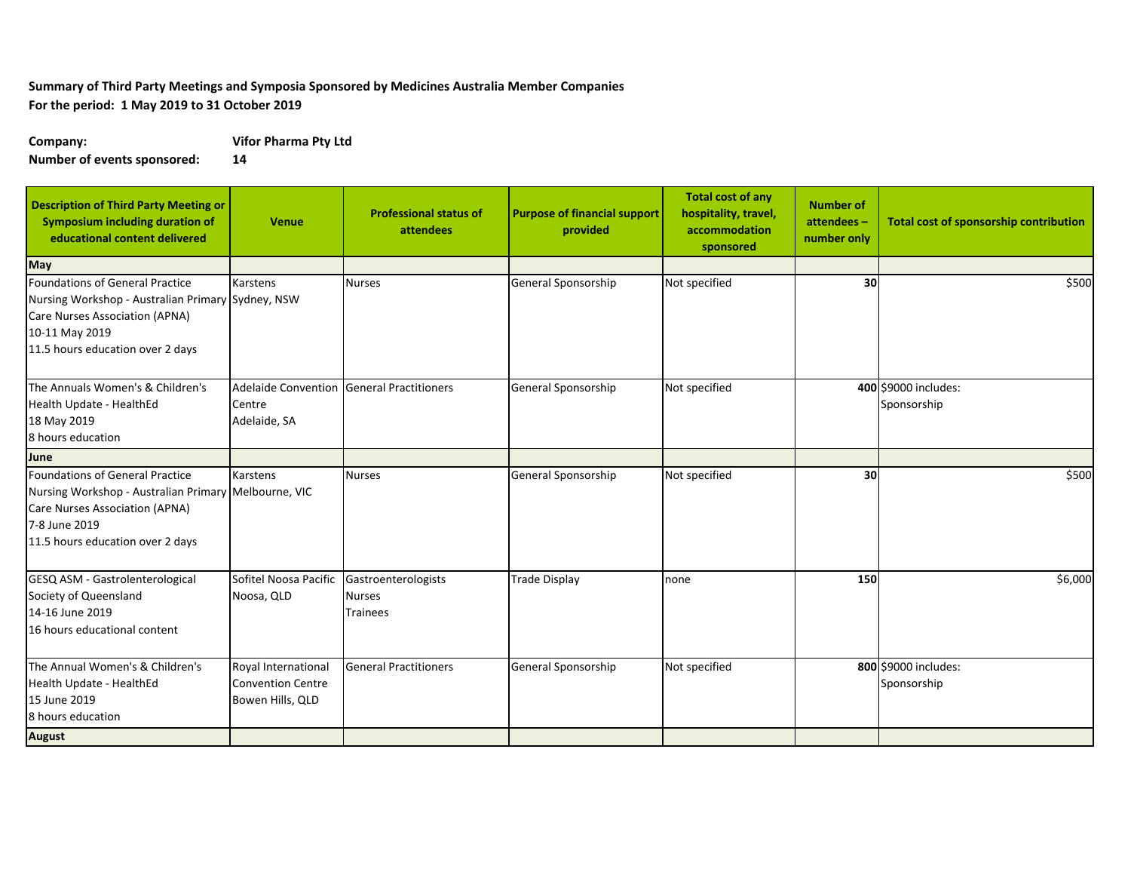## **Summary of Third Party Meetings and Symposia Sponsored by Medicines Australia Member Companies For the period: 1 May 2019 to 31 October 2019**

**Company: Vifor Pharma Pty Ltd**

**Number of events sponsored: 14**

| <b>Description of Third Party Meeting or</b><br><b>Symposium including duration of</b><br>educational content delivered                                                        | <b>Venue</b>                                                        | <b>Professional status of</b><br>attendees              | <b>Purpose of financial support</b><br>provided | <b>Total cost of any</b><br>hospitality, travel,<br>accommodation<br>sponsored | <b>Number of</b><br>attendees-<br>number only | Total cost of sponsorship contribution |
|--------------------------------------------------------------------------------------------------------------------------------------------------------------------------------|---------------------------------------------------------------------|---------------------------------------------------------|-------------------------------------------------|--------------------------------------------------------------------------------|-----------------------------------------------|----------------------------------------|
| May                                                                                                                                                                            |                                                                     |                                                         |                                                 |                                                                                |                                               |                                        |
| Foundations of General Practice<br>Nursing Workshop - Australian Primary Sydney, NSW<br>Care Nurses Association (APNA)<br>10-11 May 2019<br>11.5 hours education over 2 days   | Karstens                                                            | <b>Nurses</b>                                           | General Sponsorship                             | Not specified                                                                  | 30                                            | \$500                                  |
| The Annuals Women's & Children's<br>Health Update - HealthEd<br>18 May 2019<br>8 hours education                                                                               | Centre<br>Adelaide, SA                                              | Adelaide Convention General Practitioners               | General Sponsorship                             | Not specified                                                                  |                                               | 400 \$9000 includes:<br>Sponsorship    |
| June                                                                                                                                                                           |                                                                     |                                                         |                                                 |                                                                                |                                               |                                        |
| Foundations of General Practice<br>Nursing Workshop - Australian Primary Melbourne, VIC<br>Care Nurses Association (APNA)<br>7-8 June 2019<br>11.5 hours education over 2 days | Karstens                                                            | <b>Nurses</b>                                           | General Sponsorship                             | Not specified                                                                  | 30                                            | \$500                                  |
| GESQ ASM - Gastrolenterological<br>Society of Queensland<br>14-16 June 2019<br>16 hours educational content                                                                    | Sofitel Noosa Pacific<br>Noosa, QLD                                 | Gastroenterologists<br><b>Nurses</b><br><b>Trainees</b> | <b>Trade Display</b>                            | none                                                                           | 150                                           | \$6,000                                |
| The Annual Women's & Children's<br>Health Update - HealthEd<br>15 June 2019<br>8 hours education<br><b>August</b>                                                              | Royal International<br><b>Convention Centre</b><br>Bowen Hills, QLD | <b>General Practitioners</b>                            | General Sponsorship                             | Not specified                                                                  |                                               | 800 \$9000 includes:<br>Sponsorship    |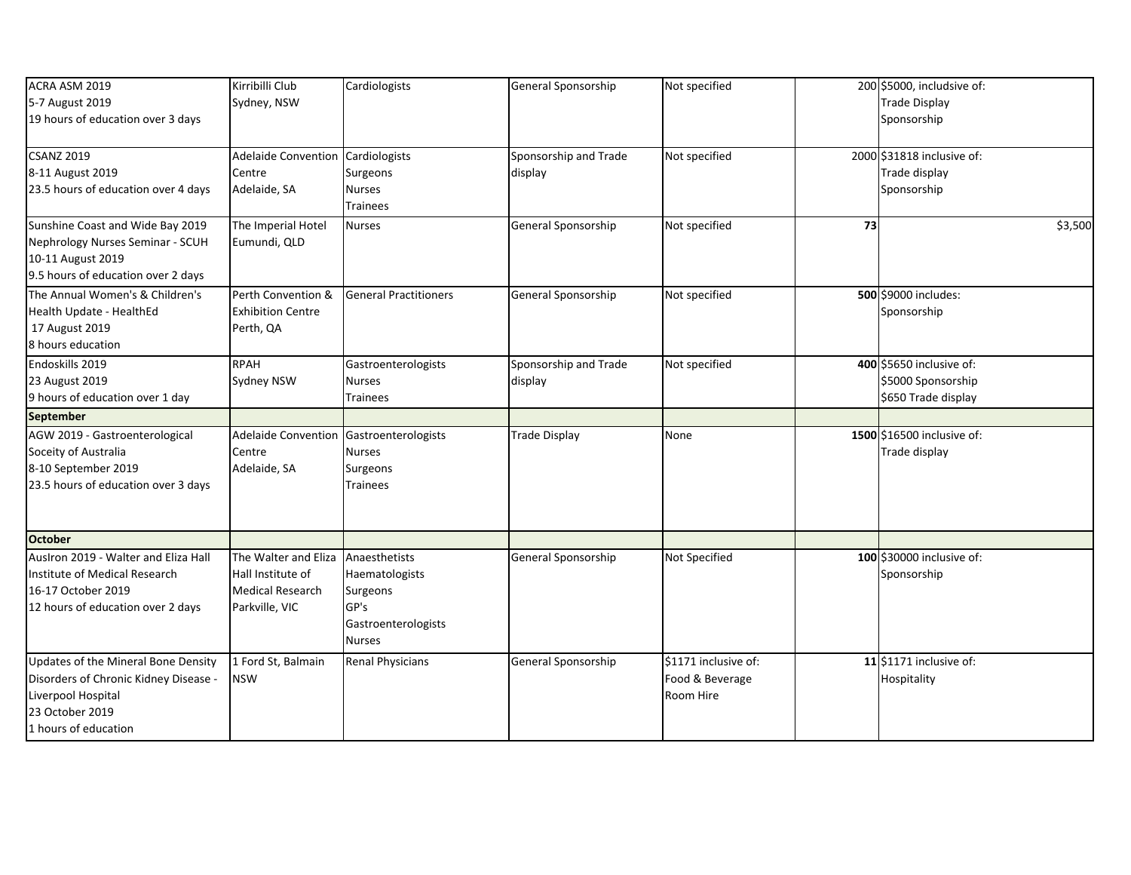| ACRA ASM 2019                         | Kirribilli Club                   | Cardiologists                | General Sponsorship   | Not specified        |    | 200 \$5000, includsive of: |         |
|---------------------------------------|-----------------------------------|------------------------------|-----------------------|----------------------|----|----------------------------|---------|
| 5-7 August 2019                       | Sydney, NSW                       |                              |                       |                      |    | <b>Trade Display</b>       |         |
| 19 hours of education over 3 days     |                                   |                              |                       |                      |    | Sponsorship                |         |
|                                       |                                   |                              |                       |                      |    |                            |         |
| <b>CSANZ 2019</b>                     | Adelaide Convention Cardiologists |                              | Sponsorship and Trade | Not specified        |    | 2000 \$31818 inclusive of: |         |
| 8-11 August 2019                      | Centre                            | Surgeons                     | display               |                      |    | Trade display              |         |
| 23.5 hours of education over 4 days   | Adelaide, SA                      | <b>Nurses</b>                |                       |                      |    | Sponsorship                |         |
|                                       |                                   | <b>Trainees</b>              |                       |                      |    |                            |         |
| Sunshine Coast and Wide Bay 2019      | The Imperial Hotel                | <b>Nurses</b>                | General Sponsorship   | Not specified        | 73 |                            | \$3,500 |
| Nephrology Nurses Seminar - SCUH      | Eumundi, QLD                      |                              |                       |                      |    |                            |         |
| 10-11 August 2019                     |                                   |                              |                       |                      |    |                            |         |
| 9.5 hours of education over 2 days    |                                   |                              |                       |                      |    |                            |         |
| The Annual Women's & Children's       | Perth Convention &                | <b>General Practitioners</b> | General Sponsorship   | Not specified        |    | 500 \$9000 includes:       |         |
| Health Update - HealthEd              | <b>Exhibition Centre</b>          |                              |                       |                      |    | Sponsorship                |         |
| 17 August 2019                        | Perth, QA                         |                              |                       |                      |    |                            |         |
| 8 hours education                     |                                   |                              |                       |                      |    |                            |         |
| Endoskills 2019                       | <b>RPAH</b>                       | Gastroenterologists          | Sponsorship and Trade | Not specified        |    | 400 \$5650 inclusive of:   |         |
| 23 August 2019                        | <b>Sydney NSW</b>                 | <b>Nurses</b>                | display               |                      |    | \$5000 Sponsorship         |         |
| 9 hours of education over 1 day       |                                   | Trainees                     |                       |                      |    | \$650 Trade display        |         |
|                                       |                                   |                              |                       |                      |    |                            |         |
| <b>September</b>                      |                                   |                              |                       |                      |    |                            |         |
| AGW 2019 - Gastroenterological        | <b>Adelaide Convention</b>        | Gastroenterologists          | <b>Trade Display</b>  | None                 |    | 1500 \$16500 inclusive of: |         |
| Soceity of Australia                  | Centre                            | <b>Nurses</b>                |                       |                      |    | Trade display              |         |
| 8-10 September 2019                   | Adelaide, SA                      | Surgeons                     |                       |                      |    |                            |         |
| 23.5 hours of education over 3 days   |                                   | <b>Trainees</b>              |                       |                      |    |                            |         |
|                                       |                                   |                              |                       |                      |    |                            |         |
|                                       |                                   |                              |                       |                      |    |                            |         |
| <b>October</b>                        |                                   |                              |                       |                      |    |                            |         |
| Auslron 2019 - Walter and Eliza Hall  | The Walter and Eliza              | Anaesthetists                | General Sponsorship   | Not Specified        |    | 100 \$30000 inclusive of:  |         |
| <b>Institute of Medical Research</b>  | Hall Institute of                 | Haematologists               |                       |                      |    | Sponsorship                |         |
| 16-17 October 2019                    | <b>Medical Research</b>           | Surgeons                     |                       |                      |    |                            |         |
| 12 hours of education over 2 days     | Parkville, VIC                    | GP's                         |                       |                      |    |                            |         |
|                                       |                                   | Gastroenterologists          |                       |                      |    |                            |         |
|                                       |                                   | <b>Nurses</b>                |                       |                      |    |                            |         |
| Updates of the Mineral Bone Density   | 1 Ford St, Balmain                | <b>Renal Physicians</b>      | General Sponsorship   | \$1171 inclusive of: |    | 11 \$1171 inclusive of:    |         |
| Disorders of Chronic Kidney Disease - | NSW                               |                              |                       | Food & Beverage      |    | Hospitality                |         |
| Liverpool Hospital                    |                                   |                              |                       | Room Hire            |    |                            |         |
| 23 October 2019                       |                                   |                              |                       |                      |    |                            |         |